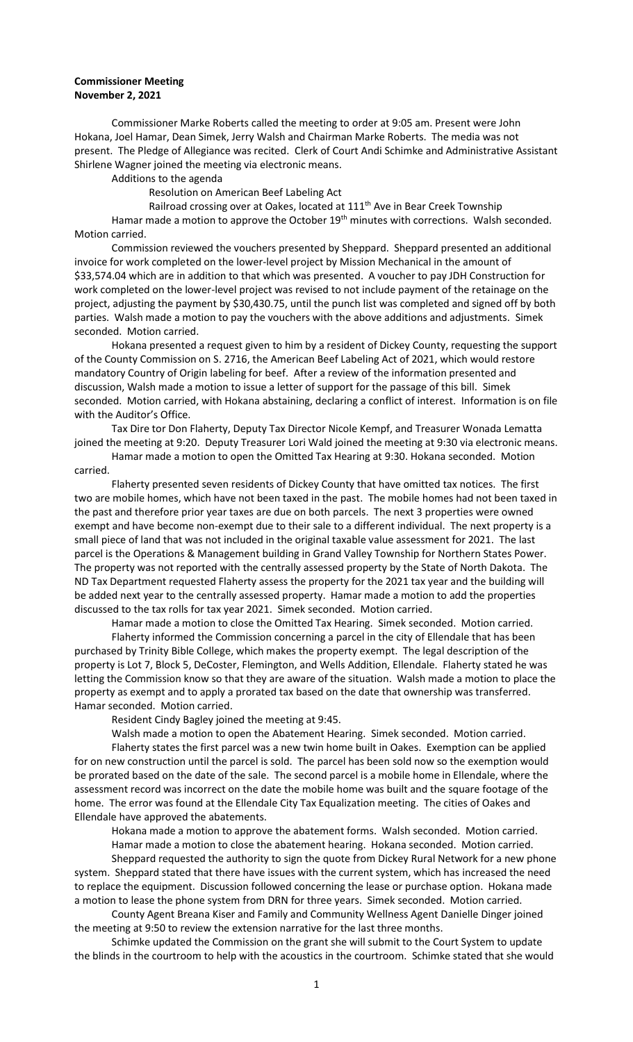## **Commissioner Meeting November 2, 2021**

Commissioner Marke Roberts called the meeting to order at 9:05 am. Present were John Hokana, Joel Hamar, Dean Simek, Jerry Walsh and Chairman Marke Roberts. The media was not present. The Pledge of Allegiance was recited. Clerk of Court Andi Schimke and Administrative Assistant Shirlene Wagner joined the meeting via electronic means.

Additions to the agenda

Resolution on American Beef Labeling Act

Railroad crossing over at Oakes, located at 111<sup>th</sup> Ave in Bear Creek Township

Hamar made a motion to approve the October 19<sup>th</sup> minutes with corrections. Walsh seconded. Motion carried.

Commission reviewed the vouchers presented by Sheppard. Sheppard presented an additional invoice for work completed on the lower-level project by Mission Mechanical in the amount of \$33,574.04 which are in addition to that which was presented. A voucher to pay JDH Construction for work completed on the lower-level project was revised to not include payment of the retainage on the project, adjusting the payment by \$30,430.75, until the punch list was completed and signed off by both parties. Walsh made a motion to pay the vouchers with the above additions and adjustments. Simek seconded. Motion carried.

Hokana presented a request given to him by a resident of Dickey County, requesting the support of the County Commission on S. 2716, the American Beef Labeling Act of 2021, which would restore mandatory Country of Origin labeling for beef. After a review of the information presented and discussion, Walsh made a motion to issue a letter of support for the passage of this bill. Simek seconded. Motion carried, with Hokana abstaining, declaring a conflict of interest. Information is on file with the Auditor's Office.

Tax Dire tor Don Flaherty, Deputy Tax Director Nicole Kempf, and Treasurer Wonada Lematta joined the meeting at 9:20. Deputy Treasurer Lori Wald joined the meeting at 9:30 via electronic means.

Hamar made a motion to open the Omitted Tax Hearing at 9:30. Hokana seconded. Motion carried.

Flaherty presented seven residents of Dickey County that have omitted tax notices. The first two are mobile homes, which have not been taxed in the past. The mobile homes had not been taxed in the past and therefore prior year taxes are due on both parcels. The next 3 properties were owned exempt and have become non-exempt due to their sale to a different individual. The next property is a small piece of land that was not included in the original taxable value assessment for 2021. The last parcel is the Operations & Management building in Grand Valley Township for Northern States Power. The property was not reported with the centrally assessed property by the State of North Dakota. The ND Tax Department requested Flaherty assess the property for the 2021 tax year and the building will be added next year to the centrally assessed property. Hamar made a motion to add the properties discussed to the tax rolls for tax year 2021. Simek seconded. Motion carried.

Hamar made a motion to close the Omitted Tax Hearing. Simek seconded. Motion carried. Flaherty informed the Commission concerning a parcel in the city of Ellendale that has been purchased by Trinity Bible College, which makes the property exempt. The legal description of the property is Lot 7, Block 5, DeCoster, Flemington, and Wells Addition, Ellendale. Flaherty stated he was letting the Commission know so that they are aware of the situation. Walsh made a motion to place the property as exempt and to apply a prorated tax based on the date that ownership was transferred. Hamar seconded. Motion carried.

Resident Cindy Bagley joined the meeting at 9:45.

Walsh made a motion to open the Abatement Hearing. Simek seconded. Motion carried.

Flaherty states the first parcel was a new twin home built in Oakes. Exemption can be applied for on new construction until the parcel is sold. The parcel has been sold now so the exemption would be prorated based on the date of the sale. The second parcel is a mobile home in Ellendale, where the assessment record was incorrect on the date the mobile home was built and the square footage of the home. The error was found at the Ellendale City Tax Equalization meeting. The cities of Oakes and Ellendale have approved the abatements.

Hokana made a motion to approve the abatement forms. Walsh seconded. Motion carried.

Hamar made a motion to close the abatement hearing. Hokana seconded. Motion carried.

Sheppard requested the authority to sign the quote from Dickey Rural Network for a new phone system. Sheppard stated that there have issues with the current system, which has increased the need to replace the equipment. Discussion followed concerning the lease or purchase option. Hokana made a motion to lease the phone system from DRN for three years. Simek seconded. Motion carried.

County Agent Breana Kiser and Family and Community Wellness Agent Danielle Dinger joined the meeting at 9:50 to review the extension narrative for the last three months.

Schimke updated the Commission on the grant she will submit to the Court System to update the blinds in the courtroom to help with the acoustics in the courtroom. Schimke stated that she would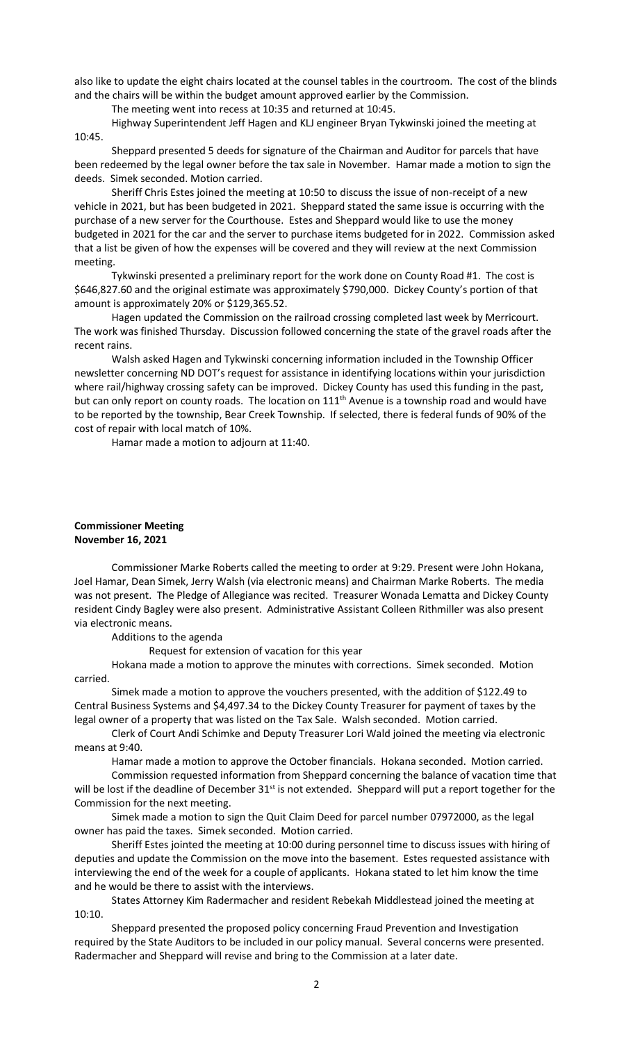also like to update the eight chairs located at the counsel tables in the courtroom. The cost of the blinds and the chairs will be within the budget amount approved earlier by the Commission.

The meeting went into recess at 10:35 and returned at 10:45.

Highway Superintendent Jeff Hagen and KLJ engineer Bryan Tykwinski joined the meeting at 10:45.

Sheppard presented 5 deeds for signature of the Chairman and Auditor for parcels that have been redeemed by the legal owner before the tax sale in November. Hamar made a motion to sign the deeds. Simek seconded. Motion carried.

Sheriff Chris Estes joined the meeting at 10:50 to discuss the issue of non-receipt of a new vehicle in 2021, but has been budgeted in 2021. Sheppard stated the same issue is occurring with the purchase of a new server for the Courthouse. Estes and Sheppard would like to use the money budgeted in 2021 for the car and the server to purchase items budgeted for in 2022. Commission asked that a list be given of how the expenses will be covered and they will review at the next Commission meeting.

Tykwinski presented a preliminary report for the work done on County Road #1. The cost is \$646,827.60 and the original estimate was approximately \$790,000. Dickey County's portion of that amount is approximately 20% or \$129,365.52.

Hagen updated the Commission on the railroad crossing completed last week by Merricourt. The work was finished Thursday. Discussion followed concerning the state of the gravel roads after the recent rains.

Walsh asked Hagen and Tykwinski concerning information included in the Township Officer newsletter concerning ND DOT's request for assistance in identifying locations within your jurisdiction where rail/highway crossing safety can be improved. Dickey County has used this funding in the past, but can only report on county roads. The location on 111<sup>th</sup> Avenue is a township road and would have to be reported by the township, Bear Creek Township. If selected, there is federal funds of 90% of the cost of repair with local match of 10%.

Hamar made a motion to adjourn at 11:40.

## **Commissioner Meeting November 16, 2021**

Commissioner Marke Roberts called the meeting to order at 9:29. Present were John Hokana, Joel Hamar, Dean Simek, Jerry Walsh (via electronic means) and Chairman Marke Roberts. The media was not present. The Pledge of Allegiance was recited. Treasurer Wonada Lematta and Dickey County resident Cindy Bagley were also present. Administrative Assistant Colleen Rithmiller was also present via electronic means.

Additions to the agenda

Request for extension of vacation for this year

Hokana made a motion to approve the minutes with corrections. Simek seconded. Motion carried.

Simek made a motion to approve the vouchers presented, with the addition of \$122.49 to Central Business Systems and \$4,497.34 to the Dickey County Treasurer for payment of taxes by the legal owner of a property that was listed on the Tax Sale. Walsh seconded. Motion carried.

Clerk of Court Andi Schimke and Deputy Treasurer Lori Wald joined the meeting via electronic means at 9:40.

Hamar made a motion to approve the October financials. Hokana seconded. Motion carried.

Commission requested information from Sheppard concerning the balance of vacation time that will be lost if the deadline of December 31<sup>st</sup> is not extended. Sheppard will put a report together for the Commission for the next meeting.

Simek made a motion to sign the Quit Claim Deed for parcel number 07972000, as the legal owner has paid the taxes. Simek seconded. Motion carried.

Sheriff Estes jointed the meeting at 10:00 during personnel time to discuss issues with hiring of deputies and update the Commission on the move into the basement. Estes requested assistance with interviewing the end of the week for a couple of applicants. Hokana stated to let him know the time and he would be there to assist with the interviews.

States Attorney Kim Radermacher and resident Rebekah Middlestead joined the meeting at 10:10.

Sheppard presented the proposed policy concerning Fraud Prevention and Investigation required by the State Auditors to be included in our policy manual. Several concerns were presented. Radermacher and Sheppard will revise and bring to the Commission at a later date.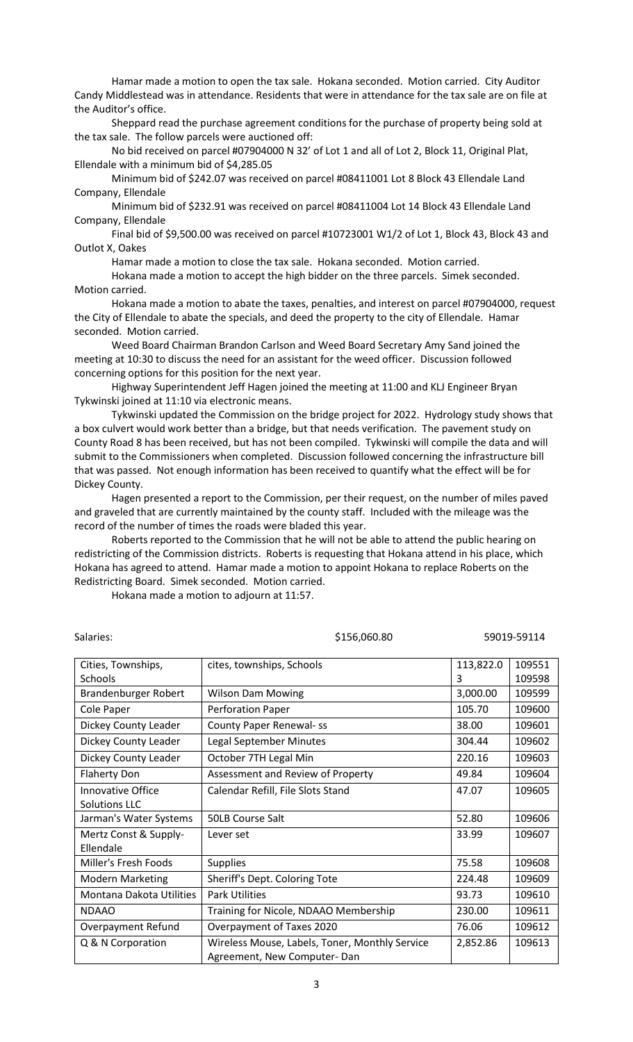Hamar made a motion to open the tax sale. Hokana seconded. Motion carried. City Auditor Candy Middlestead was in attendance. Residents that were in attendance for the tax sale are on file at the Auditor's office.

Sheppard read the purchase agreement conditions for the purchase of property being sold at the tax sale. The follow parcels were auctioned off:

No bid received on parcel #07904000 N 32' of Lot 1 and all of Lot 2, Block 11, Original Plat, Ellendale with a minimum bid of \$4,285.05

Minimum bid of \$242.07 was received on parcel #08411001 Lot 8 Block 43 Ellendale Land Company, Ellendale

Minimum bid of \$232.91 was received on parcel #08411004 Lot 14 Block 43 Ellendale Land Company, Ellendale

Final bid of \$9,500.00 was received on parcel #10723001 W1/2 of Lot 1, Block 43, Block 43 and Outlot X, Oakes

Hamar made a motion to close the tax sale. Hokana seconded. Motion carried.

Hokana made a motion to accept the high bidder on the three parcels. Simek seconded. Motion carried.

Hokana made a motion to abate the taxes, penalties, and interest on parcel #07904000, request the City of Ellendale to abate the specials, and deed the property to the city of Ellendale. Hamar seconded. Motion carried.

Weed Board Chairman Brandon Carlson and Weed Board Secretary Amy Sand joined the meeting at 10:30 to discuss the need for an assistant for the weed officer. Discussion followed concerning options for this position for the next year.

Highway Superintendent Jeff Hagen joined the meeting at 11:00 and KLJ Engineer Bryan Tykwinski joined at 11:10 via electronic means.

Tykwinski updated the Commission on the bridge project for 2022. Hydrology study shows that a box culvert would work better than a bridge, but that needs verification. The pavement study on County Road 8 has been received, but has not been compiled. Tykwinski will compile the data and will submit to the Commissioners when completed. Discussion followed concerning the infrastructure bill that was passed. Not enough information has been received to quantify what the effect will be for Dickey County.

Hagen presented a report to the Commission, per their request, on the number of miles paved and graveled that are currently maintained by the county staff. Included with the mileage was the record of the number of times the roads were bladed this year.

Roberts reported to the Commission that he will not be able to attend the public hearing on redistricting of the Commission districts. Roberts is requesting that Hokana attend in his place, which Hokana has agreed to attend. Hamar made a motion to appoint Hokana to replace Roberts on the Redistricting Board. Simek seconded. Motion carried.

Hokana made a motion to adjourn at 11:57.

| Salaries:                                        |                                                                               | \$156,060.80<br>59019-59114 |                  |
|--------------------------------------------------|-------------------------------------------------------------------------------|-----------------------------|------------------|
| Cities, Townships,<br>Schools                    | cites, townships, Schools                                                     | 113,822.0<br>3              | 109551<br>109598 |
| Brandenburger Robert                             | <b>Wilson Dam Mowing</b>                                                      | 3,000.00                    | 109599           |
| Cole Paper                                       | <b>Perforation Paper</b>                                                      | 105.70                      | 109600           |
| Dickey County Leader                             | <b>County Paper Renewal-ss</b>                                                | 38.00                       | 109601           |
| Dickey County Leader                             | Legal September Minutes                                                       | 304.44                      | 109602           |
| Dickey County Leader                             | October 7TH Legal Min                                                         | 220.16                      | 109603           |
| <b>Flaherty Don</b>                              | Assessment and Review of Property                                             | 49.84                       | 109604           |
| <b>Innovative Office</b><br><b>Solutions LLC</b> | Calendar Refill, File Slots Stand                                             | 47.07                       | 109605           |
| Jarman's Water Systems                           | <b>50LB Course Salt</b>                                                       | 52.80                       | 109606           |
| Mertz Const & Supply-<br>Ellendale               | Lever set                                                                     | 33.99                       | 109607           |
| Miller's Fresh Foods                             | <b>Supplies</b>                                                               | 75.58                       | 109608           |
| <b>Modern Marketing</b>                          | Sheriff's Dept. Coloring Tote                                                 | 224.48                      | 109609           |
| Montana Dakota Utilities                         | <b>Park Utilities</b>                                                         | 93.73                       | 109610           |
| <b>NDAAO</b>                                     | Training for Nicole, NDAAO Membership                                         | 230.00                      | 109611           |
| Overpayment Refund                               | Overpayment of Taxes 2020                                                     | 76.06                       | 109612           |
| Q & N Corporation                                | Wireless Mouse, Labels, Toner, Monthly Service<br>Agreement, New Computer-Dan | 2,852.86                    | 109613           |

3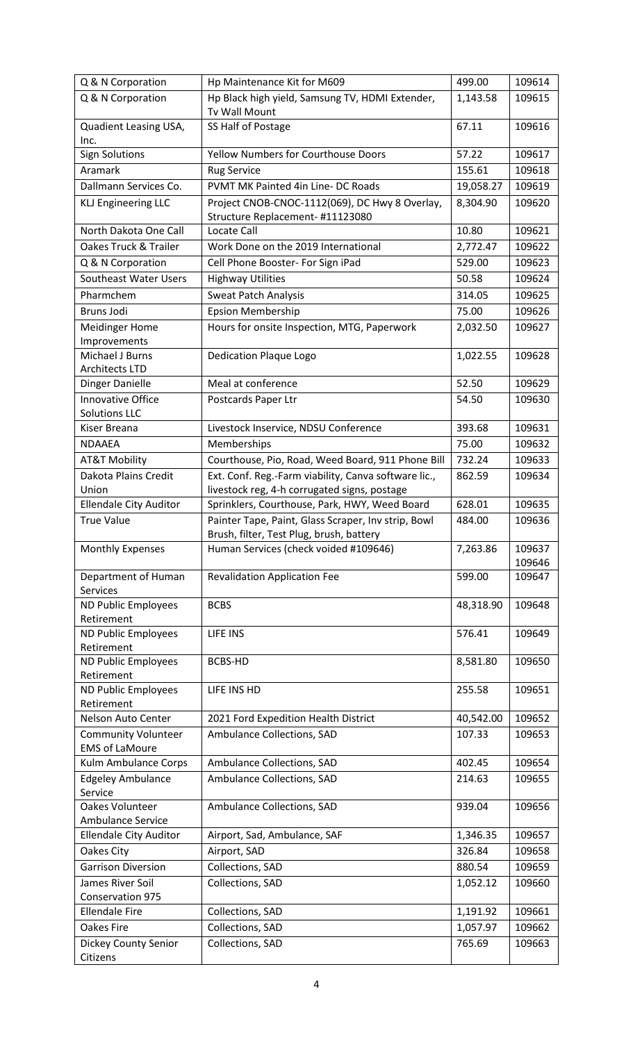| Q & N Corporation                                   | Hp Maintenance Kit for M609                                                                          | 499.00    | 109614           |
|-----------------------------------------------------|------------------------------------------------------------------------------------------------------|-----------|------------------|
| Q & N Corporation                                   | Hp Black high yield, Samsung TV, HDMI Extender,<br>Tv Wall Mount                                     | 1,143.58  | 109615           |
| Quadient Leasing USA,<br>Inc.                       | SS Half of Postage                                                                                   | 67.11     | 109616           |
| <b>Sign Solutions</b>                               | <b>Yellow Numbers for Courthouse Doors</b>                                                           | 57.22     | 109617           |
| Aramark                                             | <b>Rug Service</b>                                                                                   | 155.61    | 109618           |
| Dallmann Services Co.                               | <b>PVMT MK Painted 4in Line-DC Roads</b>                                                             | 19,058.27 | 109619           |
| <b>KLJ Engineering LLC</b>                          | Project CNOB-CNOC-1112(069), DC Hwy 8 Overlay,<br>Structure Replacement-#11123080                    | 8,304.90  | 109620           |
| North Dakota One Call                               | Locate Call                                                                                          | 10.80     | 109621           |
| Oakes Truck & Trailer                               | Work Done on the 2019 International                                                                  | 2,772.47  | 109622           |
| Q & N Corporation                                   | Cell Phone Booster- For Sign iPad                                                                    | 529.00    | 109623           |
| Southeast Water Users                               | <b>Highway Utilities</b>                                                                             | 50.58     | 109624           |
| Pharmchem                                           | <b>Sweat Patch Analysis</b>                                                                          | 314.05    | 109625           |
| <b>Bruns Jodi</b>                                   | <b>Epsion Membership</b>                                                                             | 75.00     | 109626           |
| <b>Meidinger Home</b><br>Improvements               | Hours for onsite Inspection, MTG, Paperwork                                                          | 2,032.50  | 109627           |
| Michael J Burns<br><b>Architects LTD</b>            | <b>Dedication Plaque Logo</b>                                                                        | 1,022.55  | 109628           |
| Dinger Danielle                                     | Meal at conference                                                                                   | 52.50     | 109629           |
| Innovative Office<br><b>Solutions LLC</b>           | Postcards Paper Ltr                                                                                  | 54.50     | 109630           |
| Kiser Breana                                        | Livestock Inservice, NDSU Conference                                                                 | 393.68    | 109631           |
| <b>NDAAEA</b>                                       | Memberships                                                                                          | 75.00     | 109632           |
| <b>AT&amp;T Mobility</b>                            | Courthouse, Pio, Road, Weed Board, 911 Phone Bill                                                    | 732.24    | 109633           |
| Dakota Plains Credit<br>Union                       | Ext. Conf. Reg.-Farm viability, Canva software lic.,<br>livestock reg, 4-h corrugated signs, postage | 862.59    | 109634           |
| <b>Ellendale City Auditor</b>                       | Sprinklers, Courthouse, Park, HWY, Weed Board                                                        | 628.01    | 109635           |
| <b>True Value</b>                                   | Painter Tape, Paint, Glass Scraper, Inv strip, Bowl<br>Brush, filter, Test Plug, brush, battery      | 484.00    | 109636           |
| <b>Monthly Expenses</b>                             | Human Services (check voided #109646)                                                                | 7,263.86  | 109637<br>109646 |
| Department of Human<br><b>Services</b>              | <b>Revalidation Application Fee</b>                                                                  | 599.00    | 109647           |
| <b>ND Public Employees</b><br>Retirement            | <b>BCBS</b>                                                                                          | 48,318.90 | 109648           |
| ND Public Employees<br>Retirement                   | LIFE INS                                                                                             | 576.41    | 109649           |
| ND Public Employees                                 | BCBS-HD                                                                                              | 8,581.80  | 109650           |
| Retirement                                          |                                                                                                      |           |                  |
| ND Public Employees<br>Retirement                   | LIFE INS HD                                                                                          | 255.58    | 109651           |
| Nelson Auto Center                                  | 2021 Ford Expedition Health District                                                                 | 40,542.00 | 109652           |
| <b>Community Volunteer</b><br><b>EMS of LaMoure</b> | Ambulance Collections, SAD                                                                           | 107.33    | 109653           |
| Kulm Ambulance Corps                                | Ambulance Collections, SAD                                                                           | 402.45    | 109654           |
| <b>Edgeley Ambulance</b><br>Service                 | Ambulance Collections, SAD                                                                           | 214.63    | 109655           |
| Oakes Volunteer<br>Ambulance Service                | Ambulance Collections, SAD                                                                           | 939.04    | 109656           |
| <b>Ellendale City Auditor</b>                       | Airport, Sad, Ambulance, SAF                                                                         | 1,346.35  | 109657           |
| Oakes City                                          | Airport, SAD                                                                                         | 326.84    | 109658           |
| <b>Garrison Diversion</b>                           | Collections, SAD                                                                                     | 880.54    | 109659           |
| James River Soil<br>Conservation 975                | Collections, SAD                                                                                     | 1,052.12  | 109660           |
| <b>Ellendale Fire</b>                               | Collections, SAD                                                                                     | 1,191.92  | 109661           |
| <b>Oakes Fire</b>                                   | Collections, SAD                                                                                     | 1,057.97  | 109662           |
| Dickey County Senior<br>Citizens                    | Collections, SAD                                                                                     | 765.69    | 109663           |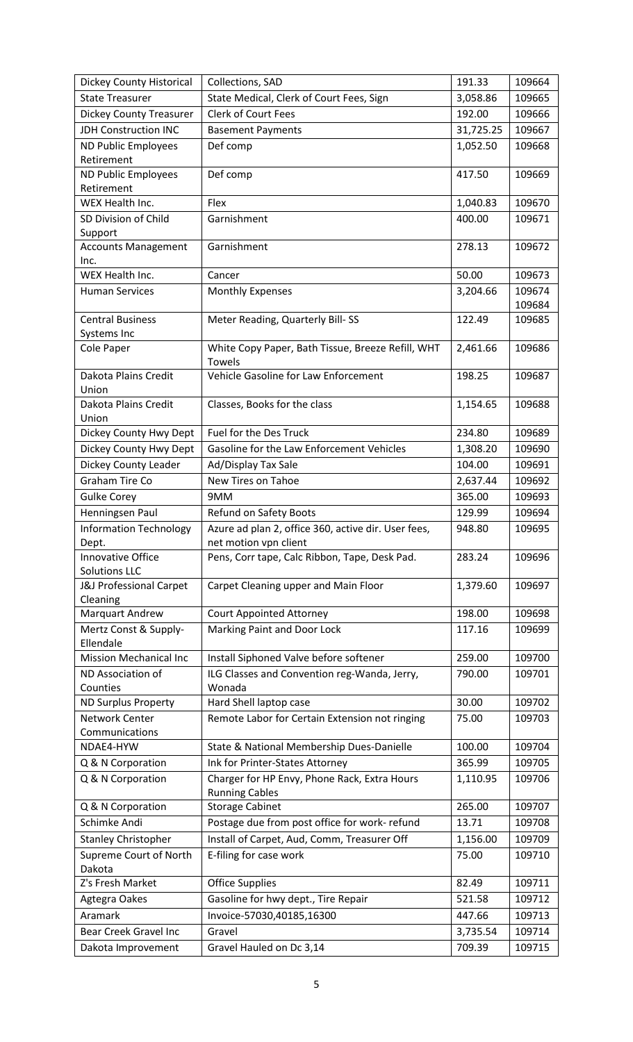| Dickey County Historical               | Collections, SAD                                                   | 191.33    | 109664 |
|----------------------------------------|--------------------------------------------------------------------|-----------|--------|
| <b>State Treasurer</b>                 | State Medical, Clerk of Court Fees, Sign                           | 3,058.86  | 109665 |
| <b>Dickey County Treasurer</b>         | <b>Clerk of Court Fees</b>                                         | 192.00    | 109666 |
| <b>JDH Construction INC</b>            | <b>Basement Payments</b>                                           | 31,725.25 | 109667 |
| <b>ND Public Employees</b>             | Def comp                                                           | 1,052.50  | 109668 |
| Retirement                             |                                                                    |           |        |
| ND Public Employees                    | Def comp                                                           | 417.50    | 109669 |
| Retirement                             |                                                                    |           |        |
| WEX Health Inc.                        | Flex                                                               | 1,040.83  | 109670 |
| SD Division of Child                   | Garnishment                                                        | 400.00    | 109671 |
| Support                                |                                                                    |           |        |
| <b>Accounts Management</b>             | Garnishment                                                        | 278.13    | 109672 |
| Inc.                                   |                                                                    |           |        |
| WEX Health Inc.                        | Cancer                                                             | 50.00     | 109673 |
| <b>Human Services</b>                  | <b>Monthly Expenses</b>                                            | 3,204.66  | 109674 |
|                                        |                                                                    |           | 109684 |
| <b>Central Business</b>                | Meter Reading, Quarterly Bill-SS                                   | 122.49    | 109685 |
| Systems Inc                            |                                                                    |           |        |
| Cole Paper                             | White Copy Paper, Bath Tissue, Breeze Refill, WHT<br><b>Towels</b> | 2,461.66  | 109686 |
| Dakota Plains Credit                   | Vehicle Gasoline for Law Enforcement                               | 198.25    | 109687 |
| Union                                  |                                                                    |           |        |
| Dakota Plains Credit                   | Classes, Books for the class                                       | 1,154.65  | 109688 |
| Union                                  |                                                                    |           |        |
| Dickey County Hwy Dept                 | Fuel for the Des Truck                                             | 234.80    | 109689 |
| Dickey County Hwy Dept                 | Gasoline for the Law Enforcement Vehicles                          | 1,308.20  | 109690 |
| Dickey County Leader                   | Ad/Display Tax Sale                                                | 104.00    | 109691 |
| <b>Graham Tire Co</b>                  | New Tires on Tahoe                                                 | 2,637.44  | 109692 |
| <b>Gulke Corey</b>                     | 9MM                                                                | 365.00    | 109693 |
| Henningsen Paul                        | Refund on Safety Boots                                             | 129.99    | 109694 |
|                                        | Azure ad plan 2, office 360, active dir. User fees,                | 948.80    | 109695 |
| <b>Information Technology</b><br>Dept. | net motion vpn client                                              |           |        |
| <b>Innovative Office</b>               | Pens, Corr tape, Calc Ribbon, Tape, Desk Pad.                      | 283.24    | 109696 |
| <b>Solutions LLC</b>                   |                                                                    |           |        |
| J&J Professional Carpet                | Carpet Cleaning upper and Main Floor                               | 1,379.60  | 109697 |
| Cleaning                               |                                                                    |           |        |
| Marquart Andrew                        | <b>Court Appointed Attorney</b>                                    | 198.00    | 109698 |
| Mertz Const & Supply-                  | Marking Paint and Door Lock                                        | 117.16    | 109699 |
| Ellendale                              |                                                                    |           |        |
| <b>Mission Mechanical Inc</b>          | Install Siphoned Valve before softener                             | 259.00    | 109700 |
| ND Association of                      | ILG Classes and Convention reg-Wanda, Jerry,                       | 790.00    | 109701 |
| Counties                               | Wonada                                                             | 30.00     | 109702 |
| <b>ND Surplus Property</b>             | Hard Shell laptop case                                             |           |        |
| Network Center<br>Communications       | Remote Labor for Certain Extension not ringing                     | 75.00     | 109703 |
| NDAE4-HYW                              | State & National Membership Dues-Danielle                          | 100.00    | 109704 |
| Q & N Corporation                      | Ink for Printer-States Attorney                                    | 365.99    | 109705 |
| Q & N Corporation                      | Charger for HP Envy, Phone Rack, Extra Hours                       | 1,110.95  | 109706 |
|                                        | <b>Running Cables</b>                                              |           |        |
| Q & N Corporation                      | <b>Storage Cabinet</b>                                             | 265.00    | 109707 |
| Schimke Andi                           | Postage due from post office for work- refund                      | 13.71     | 109708 |
| <b>Stanley Christopher</b>             | Install of Carpet, Aud, Comm, Treasurer Off                        | 1,156.00  | 109709 |
| Supreme Court of North                 | E-filing for case work                                             | 75.00     | 109710 |
| Dakota                                 |                                                                    |           |        |
| Z's Fresh Market                       | <b>Office Supplies</b>                                             | 82.49     | 109711 |
| Agtegra Oakes                          | Gasoline for hwy dept., Tire Repair                                | 521.58    | 109712 |
| Aramark                                | Invoice-57030,40185,16300                                          | 447.66    | 109713 |
| <b>Bear Creek Gravel Inc</b>           | Gravel                                                             |           | 109714 |
|                                        |                                                                    | 3,735.54  |        |
| Dakota Improvement                     | Gravel Hauled on Dc 3,14                                           | 709.39    | 109715 |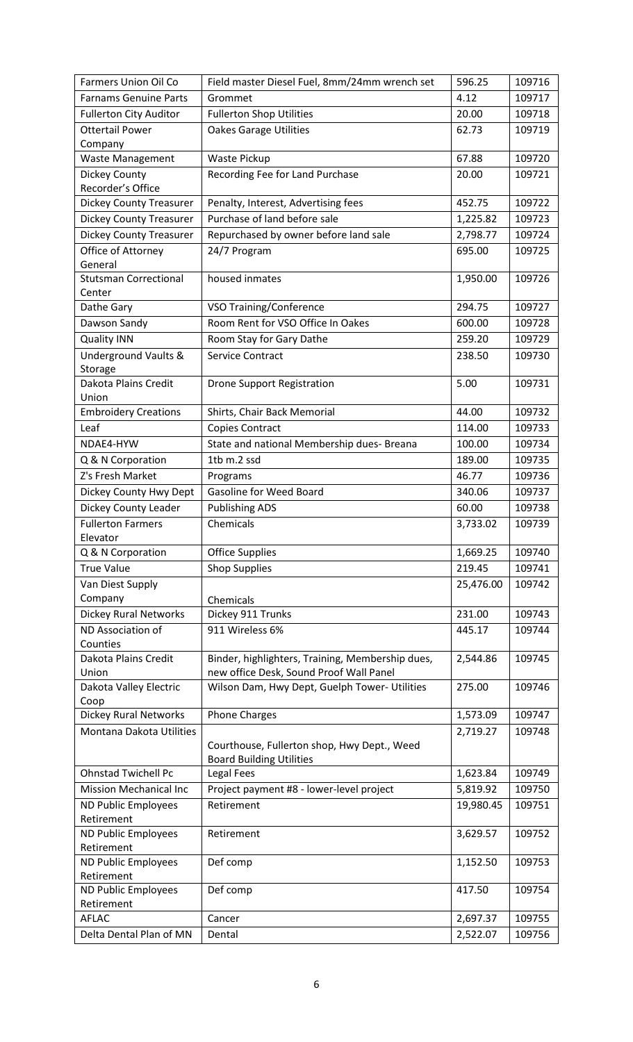| <b>Farmers Union Oil Co</b>     | Field master Diesel Fuel, 8mm/24mm wrench set                                  | 596.25    | 109716 |
|---------------------------------|--------------------------------------------------------------------------------|-----------|--------|
| <b>Farnams Genuine Parts</b>    | Grommet                                                                        | 4.12      | 109717 |
| <b>Fullerton City Auditor</b>   | <b>Fullerton Shop Utilities</b>                                                | 20.00     | 109718 |
| <b>Ottertail Power</b>          | <b>Oakes Garage Utilities</b>                                                  | 62.73     | 109719 |
| Company                         |                                                                                |           |        |
| <b>Waste Management</b>         | Waste Pickup                                                                   | 67.88     | 109720 |
| Dickey County                   | Recording Fee for Land Purchase                                                | 20.00     | 109721 |
| Recorder's Office               |                                                                                |           |        |
| <b>Dickey County Treasurer</b>  | Penalty, Interest, Advertising fees                                            | 452.75    | 109722 |
| <b>Dickey County Treasurer</b>  | Purchase of land before sale                                                   | 1,225.82  | 109723 |
| <b>Dickey County Treasurer</b>  | Repurchased by owner before land sale                                          | 2,798.77  | 109724 |
| Office of Attorney              | 24/7 Program                                                                   | 695.00    | 109725 |
| General                         |                                                                                |           |        |
| <b>Stutsman Correctional</b>    | housed inmates                                                                 | 1,950.00  | 109726 |
| Center<br>Dathe Gary            | VSO Training/Conference                                                        | 294.75    | 109727 |
|                                 | Room Rent for VSO Office In Oakes                                              |           |        |
| Dawson Sandy                    |                                                                                | 600.00    | 109728 |
| <b>Quality INN</b>              | Room Stay for Gary Dathe                                                       | 259.20    | 109729 |
| <b>Underground Vaults &amp;</b> | <b>Service Contract</b>                                                        | 238.50    | 109730 |
| Storage<br>Dakota Plains Credit | <b>Drone Support Registration</b>                                              | 5.00      | 109731 |
| Union                           |                                                                                |           |        |
| <b>Embroidery Creations</b>     | Shirts, Chair Back Memorial                                                    | 44.00     | 109732 |
| Leaf                            | Copies Contract                                                                | 114.00    | 109733 |
| NDAE4-HYW                       | State and national Membership dues- Breana                                     | 100.00    | 109734 |
| Q & N Corporation               | 1tb m.2 ssd                                                                    | 189.00    | 109735 |
| Z's Fresh Market                | Programs                                                                       | 46.77     | 109736 |
| Dickey County Hwy Dept          | <b>Gasoline for Weed Board</b>                                                 | 340.06    | 109737 |
| Dickey County Leader            | <b>Publishing ADS</b>                                                          | 60.00     | 109738 |
| <b>Fullerton Farmers</b>        | Chemicals                                                                      | 3,733.02  | 109739 |
| Elevator                        |                                                                                |           |        |
| Q & N Corporation               | <b>Office Supplies</b>                                                         | 1,669.25  | 109740 |
| <b>True Value</b>               | <b>Shop Supplies</b>                                                           | 219.45    | 109741 |
| Van Diest Supply                |                                                                                | 25,476.00 | 109742 |
| Company                         | Chemicals                                                                      |           |        |
| <b>Dickey Rural Networks</b>    | Dickey 911 Trunks                                                              | 231.00    | 109743 |
| ND Association of               | 911 Wireless 6%                                                                | 445.17    | 109744 |
| Counties                        |                                                                                |           |        |
| Dakota Plains Credit            | Binder, highlighters, Training, Membership dues,                               | 2,544.86  | 109745 |
| Union                           | new office Desk, Sound Proof Wall Panel                                        |           |        |
| Dakota Valley Electric          | Wilson Dam, Hwy Dept, Guelph Tower- Utilities                                  | 275.00    | 109746 |
| Coop                            |                                                                                |           |        |
| <b>Dickey Rural Networks</b>    | <b>Phone Charges</b>                                                           | 1,573.09  | 109747 |
| Montana Dakota Utilities        |                                                                                | 2,719.27  | 109748 |
|                                 | Courthouse, Fullerton shop, Hwy Dept., Weed<br><b>Board Building Utilities</b> |           |        |
| <b>Ohnstad Twichell Pc</b>      | Legal Fees                                                                     | 1,623.84  | 109749 |
| <b>Mission Mechanical Inc</b>   | Project payment #8 - lower-level project                                       | 5,819.92  | 109750 |
| ND Public Employees             | Retirement                                                                     | 19,980.45 | 109751 |
| Retirement                      |                                                                                |           |        |
| ND Public Employees             | Retirement                                                                     | 3,629.57  | 109752 |
| Retirement                      |                                                                                |           |        |
| ND Public Employees             | Def comp                                                                       | 1,152.50  | 109753 |
| Retirement                      |                                                                                |           |        |
| ND Public Employees             | Def comp                                                                       | 417.50    | 109754 |
| Retirement                      |                                                                                |           |        |
| <b>AFLAC</b>                    | Cancer                                                                         | 2,697.37  | 109755 |
| Delta Dental Plan of MN         | Dental                                                                         | 2,522.07  | 109756 |